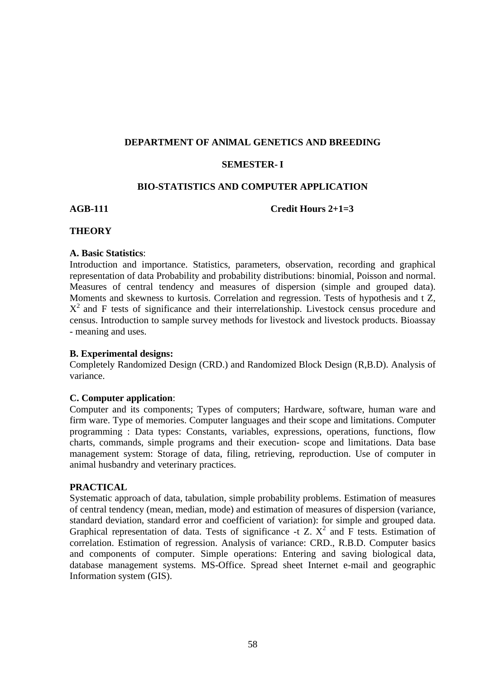### **DEPARTMENT OF ANlMAL GENETICS AND BREEDING**

# **SEMESTER- I**

# **BIO-STATISTICS AND COMPUTER APPLICATION**

**AGB-111 Credit Hours 2+1=3** 

# **THEORY**

### **A. Basic Statistics**:

Introduction and importance. Statistics, parameters, observation, recording and graphical representation of data Probability and probability distributions: binomial, Poisson and normal. Measures of central tendency and measures of dispersion (simple and grouped data). Moments and skewness to kurtosis. Correlation and regression. Tests of hypothesis and t Z,  $X^2$  and F tests of significance and their interrelationship. Livestock census procedure and census. Introduction to sample survey methods for livestock and livestock products. Bioassay - meaning and uses.

# **B. Experimental designs:**

Completely Randomized Design (CRD.) and Randomized Block Design (R,B.D). Analysis of variance.

# **C. Computer application**:

Computer and its components; Types of computers; Hardware, software, human ware and firm ware. Type of memories. Computer languages and their scope and limitations. Computer programming : Data types: Constants, variables, expressions, operations, functions, flow charts, commands, simple programs and their execution- scope and limitations. Data base management system: Storage of data, filing, retrieving, reproduction. Use of computer in animal husbandry and veterinary practices.

# **PRACTICAL**

Systematic approach of data, tabulation, simple probability problems. Estimation of measures of central tendency (mean, median, mode) and estimation of measures of dispersion (variance, standard deviation, standard error and coefficient of variation): for simple and grouped data. Graphical representation of data. Tests of significance -t  $Z$ .  $X^2$  and  $\overline{F}$  tests. Estimation of correlation. Estimation of regression. Analysis of variance: CRD., R.B.D. Computer basics and components of computer. Simple operations: Entering and saving biological data, database management systems. MS-Office. Spread sheet Internet e-mail and geographic Information system (GIS).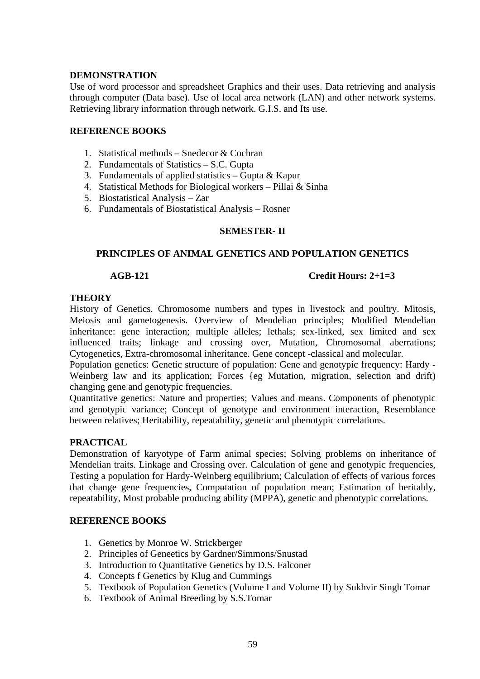# **DEMONSTRATION**

Use of word processor and spreadsheet Graphics and their uses. Data retrieving and analysis through computer (Data base). Use of local area network (LAN) and other network systems. Retrieving library information through network. G.I.S. and Its use.

# **REFERENCE BOOKS**

- 1. Statistical methods Snedecor & Cochran
- 2. Fundamentals of Statistics S.C. Gupta
- 3. Fundamentals of applied statistics Gupta & Kapur
- 4. Statistical Methods for Biological workers Pillai & Sinha
- 5. Biostatistical Analysis Zar
- 6. Fundamentals of Biostatistical Analysis Rosner

# **SEMESTER- II**

# **PRINCIPLES OF ANIMAL GENETICS AND POPULATION GENETICS**

# **AGB-121 Credit Hours: 2+1=3**

# **THEORY**

History of Genetics. Chromosome numbers and types in livestock and poultry. Mitosis, Meiosis and gametogenesis. Overview of Mendelian principles; Modified Mendelian inheritance: gene interaction; multiple alleles; lethals; sex-linked, sex limited and sex influenced traits; linkage and crossing over, Mutation, Chromosomal aberrations; Cytogenetics, Extra-chromosomal inheritance. Gene concept -classical and molecular.

Population genetics: Genetic structure of population: Gene and genotypic frequency: Hardy - Weinberg law and its application; Forces {eg Mutation, migration, selection and drift) changing gene and genotypic frequencies.

Quantitative genetics: Nature and properties; Values and means. Components of phenotypic and genotypic variance; Concept of genotype and environment interaction, Resemblance between relatives; Heritability, repeatability, genetic and phenotypic correlations.

# **PRACTICAL**

Demonstration of karyotype of Farm animal species; Solving problems on inheritance of Mendelian traits. Linkage and Crossing over. Calculation of gene and genotypic frequencies, Testing a population for Hardy-Weinberg equilibrium; Calculation of effects of various forces that change gene frequencies, Computation of population mean; Estimation of heritably, repeatability, Most probable producing ability (MPPA), genetic and phenotypic correlations.

# **REFERENCE BOOKS**

- 1. Genetics by Monroe W. Strickberger
- 2. Principles of Geneetics by Gardner/Simmons/Snustad
- 3. Introduction to Quantitative Genetics by D.S. Falconer
- 4. Concepts f Genetics by Klug and Cummings
- 5. Textbook of Population Genetics (Volume I and Volume II) by Sukhvir Singh Tomar
- 6. Textbook of Animal Breeding by S.S.Tomar